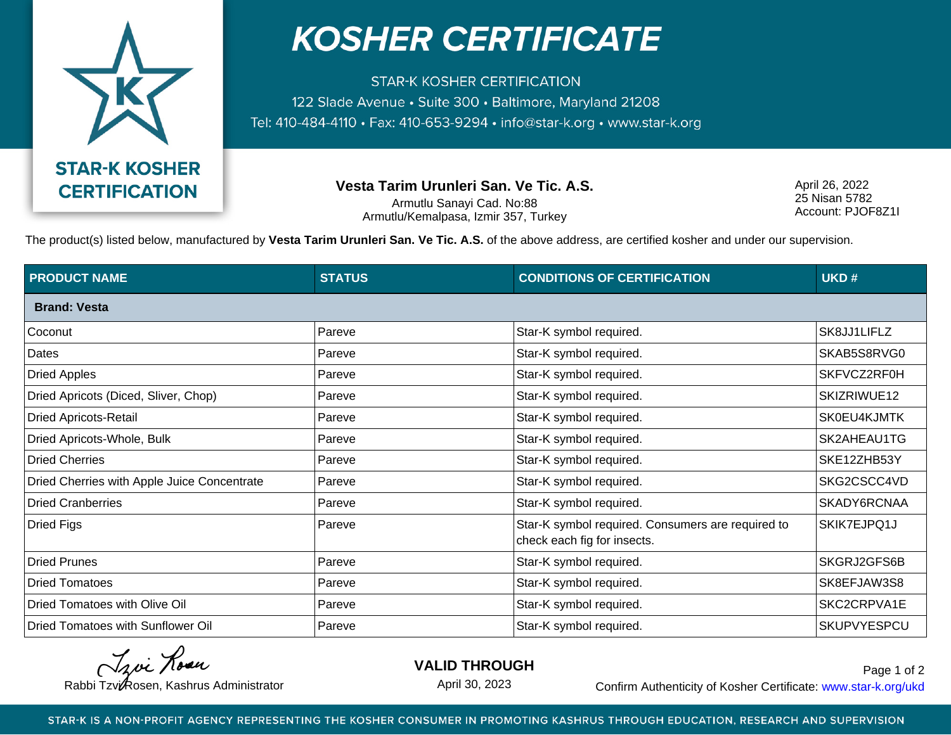

## **KOSHER CERTIFICATE**

**STAR-K KOSHER CERTIFICATION** 122 Slade Avenue · Suite 300 · Baltimore, Maryland 21208 Tel: 410-484-4110 · Fax: 410-653-9294 · info@star-k.org · www.star-k.org

**Vesta Tarim Urunleri San. Ve Tic. A.S.**

Armutlu Sanayi Cad. No:88 Armutlu/Kemalpasa, Izmir 357, Turkey April 26, 2022 25 Nisan 5782 Account: PJOF8Z1I

The product(s) listed below, manufactured by **Vesta Tarim Urunleri San. Ve Tic. A.S.** of the above address, are certified kosher and under our supervision.

| <b>PRODUCT NAME</b>                         | <b>STATUS</b> | <b>CONDITIONS OF CERTIFICATION</b>                                               | UKD#        |
|---------------------------------------------|---------------|----------------------------------------------------------------------------------|-------------|
| <b>Brand: Vesta</b>                         |               |                                                                                  |             |
| Coconut                                     | Pareve        | Star-K symbol required.                                                          | SK8JJ1LIFLZ |
| Dates                                       | Pareve        | Star-K symbol required.                                                          | SKAB5S8RVG0 |
| <b>Dried Apples</b>                         | Pareve        | Star-K symbol required.                                                          | SKFVCZ2RF0H |
| Dried Apricots (Diced, Sliver, Chop)        | Pareve        | Star-K symbol required.                                                          | SKIZRIWUE12 |
| <b>Dried Apricots-Retail</b>                | Pareve        | Star-K symbol required.                                                          | SK0EU4KJMTK |
| Dried Apricots-Whole, Bulk                  | Pareve        | Star-K symbol required.                                                          | SK2AHEAU1TG |
| <b>Dried Cherries</b>                       | Pareve        | Star-K symbol required.                                                          | SKE12ZHB53Y |
| Dried Cherries with Apple Juice Concentrate | Pareve        | Star-K symbol required.                                                          | SKG2CSCC4VD |
| <b>Dried Cranberries</b>                    | Pareve        | Star-K symbol required.                                                          | SKADY6RCNAA |
| <b>Dried Figs</b>                           | Pareve        | Star-K symbol required. Consumers are required to<br>check each fig for insects. | SKIK7EJPQ1J |
| <b>Dried Prunes</b>                         | Pareve        | Star-K symbol required.                                                          | SKGRJ2GFS6B |
| <b>Dried Tomatoes</b>                       | Pareve        | Star-K symbol required.                                                          | SK8EFJAW3S8 |
| Dried Tomatoes with Olive Oil               | Pareve        | Star-K symbol required.                                                          | SKC2CRPVA1E |
| Dried Tomatoes with Sunflower Oil           | Pareve        | Star-K symbol required.                                                          | SKUPVYESPCU |

Troi Rosen

**VALID THROUGH**

April 30, 2023

Rabbi Tzvi Rosen, Kashrus Administrator **Confirm Authenticity of Kosher Certificate:** www.star-k.org/ukd Page 1 of 2

STAR-K IS A NON-PROFIT AGENCY REPRESENTING THE KOSHER CONSUMER IN PROMOTING KASHRUS THROUGH EDUCATION, RESEARCH AND SUPERVISION